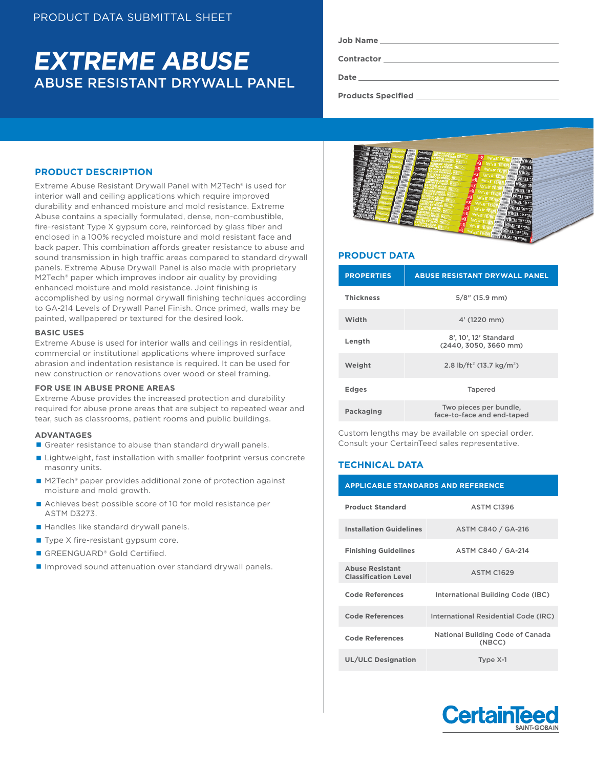# ABUSE RESISTANT DRYWALL PANEL **EXTREME ABUSE**

**Contractor**

**Date**

**Products Specified** 

# **PRODUCT DESCRIPTION**

Extreme Abuse Resistant Drywall Panel with M2Tech® is used for interior wall and ceiling applications which require improved durability and enhanced moisture and mold resistance. Extreme Abuse contains a specially formulated, dense, non-combustible, fire-resistant Type X gypsum core, reinforced by glass fiber and enclosed in a 100% recycled moisture and mold resistant face and back paper. This combination affords greater resistance to abuse and sound transmission in high traffic areas compared to standard drywall panels. Extreme Abuse Drywall Panel is also made with proprietary M2Tech® paper which improves indoor air quality by providing enhanced moisture and mold resistance. Joint finishing is accomplished by using normal drywall finishing techniques according to GA-214 Levels of Drywall Panel Finish. Once primed, walls may be painted, wallpapered or textured for the desired look.

#### **BASIC USES**

Extreme Abuse is used for interior walls and ceilings in residential, commercial or institutional applications where improved surface abrasion and indentation resistance is required. It can be used for new construction or renovations over wood or steel framing.

# **FOR USE IN ABUSE PRONE AREAS**

Extreme Abuse provides the increased protection and durability required for abuse prone areas that are subject to repeated wear and tear, such as classrooms, patient rooms and public buildings.

#### **ADVANTAGES**

- Greater resistance to abuse than standard drywall panels.
- Lightweight, fast installation with smaller footprint versus concrete masonry units.
- M2Tech® paper provides additional zone of protection against moisture and mold growth.
- Achieves best possible score of 10 for mold resistance per ASTM D3273.
- Handles like standard drywall panels.
- Type X fire-resistant gypsum core.
- GREENGUARD® Gold Certified.
- **Improved sound attenuation over standard drywall panels.**



# **PRODUCT DATA**

| <b>PROPERTIES</b> | <b>ABUSE RESISTANT DRYWALL PANEL</b>                 |  |  |  |
|-------------------|------------------------------------------------------|--|--|--|
| <b>Thickness</b>  | $5/8$ " (15.9 mm)                                    |  |  |  |
| Width             | 4' (1220 mm)                                         |  |  |  |
| Length            | 8', 10', 12' Standard<br>(2440, 3050, 3660 mm)       |  |  |  |
| Weight            | 2.8 lb/ft <sup>2</sup> (13.7 kg/m <sup>2</sup> )     |  |  |  |
| <b>Edges</b>      | <b>Tapered</b>                                       |  |  |  |
| Packaging         | Two pieces per bundle,<br>face-to-face and end-taped |  |  |  |

Custom lengths may be available on special order. Consult your CertainTeed sales representative.

# **TECHNICAL DATA**

| <b>APPLICABLE STANDARDS AND REFERENCE</b>             |                                            |  |  |  |
|-------------------------------------------------------|--------------------------------------------|--|--|--|
| <b>Product Standard</b>                               | <b>ASTM C1396</b>                          |  |  |  |
| <b>Installation Guidelines</b>                        | ASTM C840 / GA-216                         |  |  |  |
| <b>Finishing Guidelines</b>                           | ASTM C840 / GA-214                         |  |  |  |
| <b>Abuse Resistant</b><br><b>Classification Level</b> | <b>ASTM C1629</b>                          |  |  |  |
| <b>Code References</b>                                | International Building Code (IBC)          |  |  |  |
| <b>Code References</b>                                | International Residential Code (IRC)       |  |  |  |
| <b>Code References</b>                                | National Building Code of Canada<br>(NBCC) |  |  |  |
| <b>UL/ULC Designation</b>                             | Type X-1                                   |  |  |  |

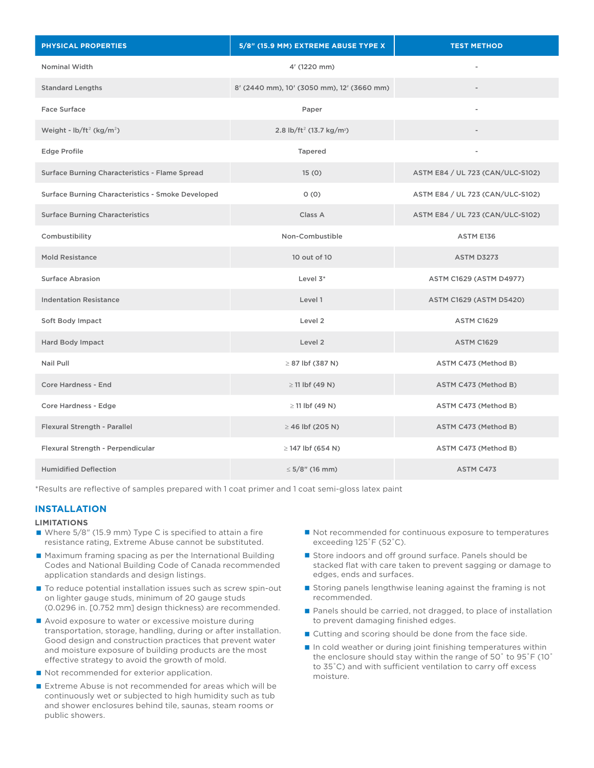| <b>PHYSICAL PROPERTIES</b>                        | 5/8" (15.9 MM) EXTREME ABUSE TYPE X              | <b>TEST METHOD</b>               |  |
|---------------------------------------------------|--------------------------------------------------|----------------------------------|--|
| Nominal Width                                     | 4' (1220 mm)                                     |                                  |  |
| <b>Standard Lengths</b>                           | 8' (2440 mm), 10' (3050 mm), 12' (3660 mm)       |                                  |  |
| <b>Face Surface</b>                               | Paper                                            | $\overline{\phantom{a}}$         |  |
| Weight - $\frac{1}{2}$ (kg/m <sup>2</sup> )       | 2.8 lb/ft <sup>2</sup> (13.7 kg/m <sup>2</sup> ) |                                  |  |
| <b>Edge Profile</b>                               | Tapered                                          |                                  |  |
| Surface Burning Characteristics - Flame Spread    | 15(0)                                            | ASTM E84 / UL 723 (CAN/ULC-S102) |  |
| Surface Burning Characteristics - Smoke Developed | 0(0)                                             | ASTM E84 / UL 723 (CAN/ULC-S102) |  |
| <b>Surface Burning Characteristics</b>            | Class A                                          | ASTM E84 / UL 723 (CAN/ULC-S102) |  |
| Combustibility                                    | Non-Combustible                                  | ASTM E136                        |  |
| <b>Mold Resistance</b>                            | 10 out of 10                                     | <b>ASTM D3273</b>                |  |
| <b>Surface Abrasion</b>                           | Level $3^*$                                      | <b>ASTM C1629 (ASTM D4977)</b>   |  |
| <b>Indentation Resistance</b>                     | Level 1                                          | ASTM C1629 (ASTM D5420)          |  |
| Soft Body Impact                                  | Level 2                                          | <b>ASTM C1629</b>                |  |
| Hard Body Impact                                  | Level 2                                          | <b>ASTM C1629</b>                |  |
| Nail Pull                                         | $\geq$ 87 lbf (387 N)                            | ASTM C473 (Method B)             |  |
| <b>Core Hardness - End</b>                        | $\geq$ 11 lbf (49 N)                             | ASTM C473 (Method B)             |  |
| Core Hardness - Edge                              | $\geq$ 11 lbf (49 N)                             | ASTM C473 (Method B)             |  |
| Flexural Strength - Parallel                      | $\geq$ 46 lbf (205 N)                            | ASTM C473 (Method B)             |  |
| Flexural Strength - Perpendicular                 | $\geq$ 147 lbf (654 N)                           | ASTM C473 (Method B)             |  |
| <b>Humidified Deflection</b>                      | $\leq$ 5/8" (16 mm)                              | ASTM C473                        |  |

\*Results are reflective of samples prepared with 1 coat primer and 1 coat semi-gloss latex paint

# **INSTALLATION**

### **LIMITATIONS**

- Where 5/8" (15.9 mm) Type C is specified to attain a fire resistance rating, Extreme Abuse cannot be substituted.
- Maximum framing spacing as per the International Building Codes and National Building Code of Canada recommended application standards and design listings.
- To reduce potential installation issues such as screw spin-out on lighter gauge studs, minimum of 20 gauge studs (0.0296 in. [0.752 mm] design thickness) are recommended.
- Avoid exposure to water or excessive moisture during transportation, storage, handling, during or after installation. Good design and construction practices that prevent water and moisture exposure of building products are the most effective strategy to avoid the growth of mold.
- Not recommended for exterior application.
- Extreme Abuse is not recommended for areas which will be continuously wet or subjected to high humidity such as tub and shower enclosures behind tile, saunas, steam rooms or public showers.
- Not recommended for continuous exposure to temperatures exceeding 125˚F (52˚C).
- Store indoors and off ground surface. Panels should be stacked flat with care taken to prevent sagging or damage to edges, ends and surfaces.
- Storing panels lengthwise leaning against the framing is not recommended.
- Panels should be carried, not dragged, to place of installation to prevent damaging finished edges.
- Cutting and scoring should be done from the face side.
- $\blacksquare$  In cold weather or during joint finishing temperatures within the enclosure should stay within the range of 50˚ to 95˚F (10˚ to 35˚C) and with sufficient ventilation to carry off excess moisture.